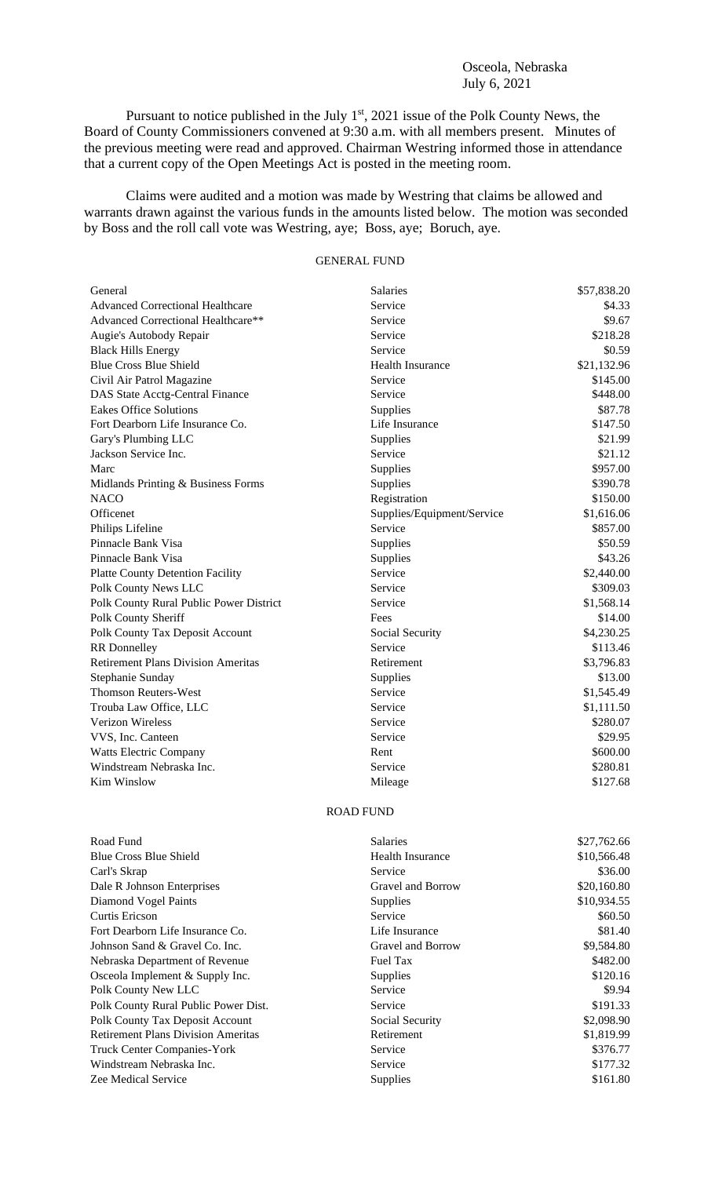## Osceola, Nebraska July 6, 2021

Pursuant to notice published in the July  $1<sup>st</sup>$ , 2021 issue of the Polk County News, the Board of County Commissioners convened at 9:30 a.m. with all members present. Minutes of the previous meeting were read and approved. Chairman Westring informed those in attendance that a current copy of the Open Meetings Act is posted in the meeting room.

Claims were audited and a motion was made by Westring that claims be allowed and warrants drawn against the various funds in the amounts listed below. The motion was seconded by Boss and the roll call vote was Westring, aye; Boss, aye; Boruch, aye.

## GENERAL FUND

| General                                   | <b>Salaries</b>            | \$57,838.20 |
|-------------------------------------------|----------------------------|-------------|
| <b>Advanced Correctional Healthcare</b>   | Service                    | \$4.33      |
| Advanced Correctional Healthcare**        | Service                    | \$9.67      |
| Augie's Autobody Repair                   | Service                    | \$218.28    |
| <b>Black Hills Energy</b>                 | Service                    | \$0.59      |
| <b>Blue Cross Blue Shield</b>             | Health Insurance           | \$21,132.96 |
| Civil Air Patrol Magazine                 | Service                    | \$145.00    |
| DAS State Acctg-Central Finance           | Service                    | \$448.00    |
| <b>Eakes Office Solutions</b>             | Supplies                   | \$87.78     |
| Fort Dearborn Life Insurance Co.          | Life Insurance             | \$147.50    |
| Gary's Plumbing LLC                       | Supplies                   | \$21.99     |
| Jackson Service Inc.                      | Service                    | \$21.12     |
| Marc                                      | Supplies                   | \$957.00    |
| Midlands Printing & Business Forms        | Supplies                   | \$390.78    |
| <b>NACO</b>                               | Registration               | \$150.00    |
| Officenet                                 | Supplies/Equipment/Service | \$1,616.06  |
| Philips Lifeline                          | Service                    | \$857.00    |
| Pinnacle Bank Visa                        | Supplies                   | \$50.59     |
| Pinnacle Bank Visa                        | Supplies                   | \$43.26     |
| <b>Platte County Detention Facility</b>   | Service                    | \$2,440.00  |
| Polk County News LLC                      | Service                    | \$309.03    |
| Polk County Rural Public Power District   | Service                    | \$1,568.14  |
| Polk County Sheriff                       | Fees                       | \$14.00     |
| Polk County Tax Deposit Account           | Social Security            | \$4,230.25  |
| <b>RR</b> Donnelley                       | Service                    | \$113.46    |
| <b>Retirement Plans Division Ameritas</b> | Retirement                 | \$3,796.83  |
| Stephanie Sunday                          | Supplies                   | \$13.00     |
| <b>Thomson Reuters-West</b>               | Service                    | \$1,545.49  |
| Trouba Law Office, LLC                    | Service                    | \$1,111.50  |
| <b>Verizon Wireless</b>                   | Service                    | \$280.07    |
| VVS, Inc. Canteen                         | Service                    | \$29.95     |
| <b>Watts Electric Company</b>             | Rent                       | \$600.00    |
| Windstream Nebraska Inc.                  | Service                    | \$280.81    |
| <b>Kim Winslow</b>                        | Mileage                    | \$127.68    |
|                                           |                            |             |

## ROAD FUND

| Road Fund                                 | <b>Salaries</b>   | \$27,762.66 |
|-------------------------------------------|-------------------|-------------|
| <b>Blue Cross Blue Shield</b>             | Health Insurance  | \$10,566.48 |
| Carl's Skrap                              | Service           | \$36.00     |
| Dale R Johnson Enterprises                | Gravel and Borrow | \$20,160.80 |
| Diamond Vogel Paints                      | <b>Supplies</b>   | \$10,934.55 |
| <b>Curtis Ericson</b>                     | Service           | \$60.50     |
| Fort Dearborn Life Insurance Co.          | Life Insurance    | \$81.40     |
| Johnson Sand & Gravel Co. Inc.            | Gravel and Borrow | \$9,584.80  |
| Nebraska Department of Revenue            | Fuel Tax          | \$482.00    |
| Osceola Implement & Supply Inc.           | <b>Supplies</b>   | \$120.16    |
| Polk County New LLC                       | Service           | \$9.94      |
| Polk County Rural Public Power Dist.      | Service           | \$191.33    |
| Polk County Tax Deposit Account           | Social Security   | \$2,098.90  |
| <b>Retirement Plans Division Ameritas</b> | Retirement        | \$1,819.99  |
| <b>Truck Center Companies-York</b>        | Service           | \$376.77    |
| Windstream Nebraska Inc.                  | Service           | \$177.32    |
| Zee Medical Service                       | Supplies          | \$161.80    |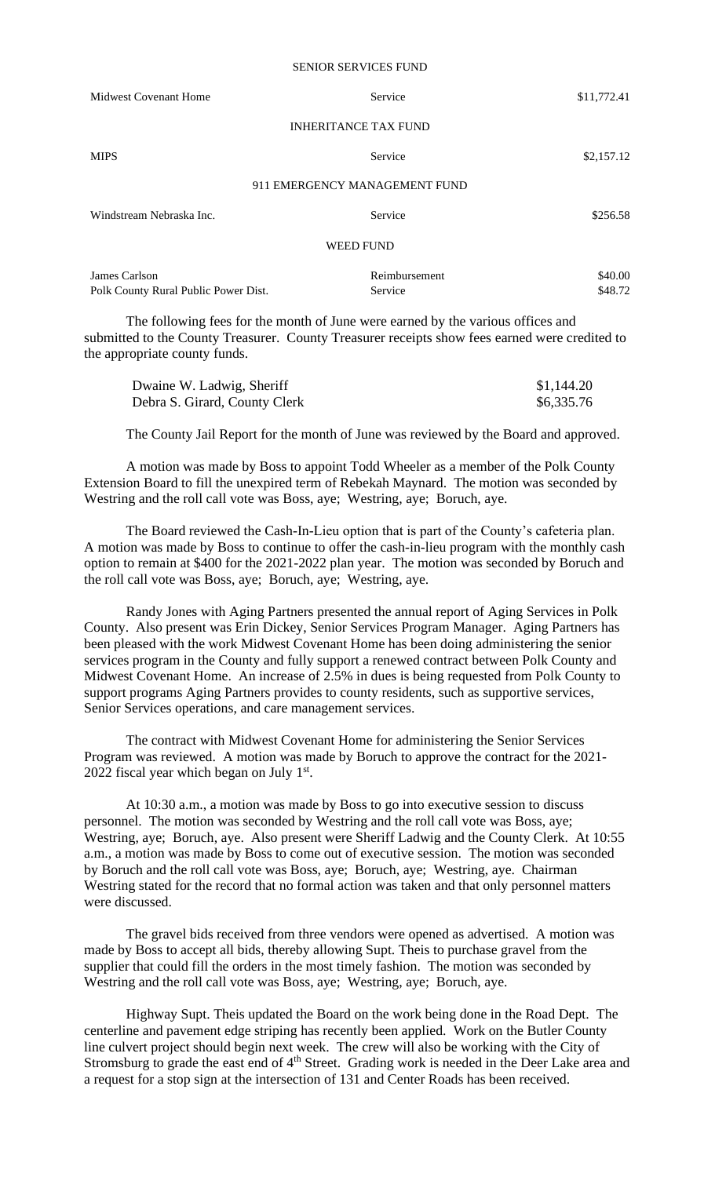## SENIOR SERVICES FUND

| Midwest Covenant Home                | Service                       | \$11,772.41 |
|--------------------------------------|-------------------------------|-------------|
|                                      | <b>INHERITANCE TAX FUND</b>   |             |
| <b>MIPS</b>                          | Service                       | \$2,157.12  |
|                                      | 911 EMERGENCY MANAGEMENT FUND |             |
| Windstream Nebraska Inc.             | Service                       | \$256.58    |
|                                      | <b>WEED FUND</b>              |             |
| James Carlson                        | Reimbursement                 | \$40.00     |
| Polk County Rural Public Power Dist. | Service                       | \$48.72     |

The following fees for the month of June were earned by the various offices and submitted to the County Treasurer. County Treasurer receipts show fees earned were credited to the appropriate county funds.

| Dwaine W. Ladwig, Sheriff     | \$1,144.20 |
|-------------------------------|------------|
| Debra S. Girard, County Clerk | \$6,335.76 |

The County Jail Report for the month of June was reviewed by the Board and approved.

A motion was made by Boss to appoint Todd Wheeler as a member of the Polk County Extension Board to fill the unexpired term of Rebekah Maynard. The motion was seconded by Westring and the roll call vote was Boss, aye; Westring, aye; Boruch, aye.

The Board reviewed the Cash-In-Lieu option that is part of the County's cafeteria plan. A motion was made by Boss to continue to offer the cash-in-lieu program with the monthly cash option to remain at \$400 for the 2021-2022 plan year. The motion was seconded by Boruch and the roll call vote was Boss, aye; Boruch, aye; Westring, aye.

Randy Jones with Aging Partners presented the annual report of Aging Services in Polk County. Also present was Erin Dickey, Senior Services Program Manager. Aging Partners has been pleased with the work Midwest Covenant Home has been doing administering the senior services program in the County and fully support a renewed contract between Polk County and Midwest Covenant Home. An increase of 2.5% in dues is being requested from Polk County to support programs Aging Partners provides to county residents, such as supportive services, Senior Services operations, and care management services.

The contract with Midwest Covenant Home for administering the Senior Services Program was reviewed. A motion was made by Boruch to approve the contract for the 2021- 2022 fiscal year which began on July  $1<sup>st</sup>$ .

At 10:30 a.m., a motion was made by Boss to go into executive session to discuss personnel. The motion was seconded by Westring and the roll call vote was Boss, aye; Westring, aye; Boruch, aye. Also present were Sheriff Ladwig and the County Clerk. At 10:55 a.m., a motion was made by Boss to come out of executive session. The motion was seconded by Boruch and the roll call vote was Boss, aye; Boruch, aye; Westring, aye. Chairman Westring stated for the record that no formal action was taken and that only personnel matters were discussed.

The gravel bids received from three vendors were opened as advertised. A motion was made by Boss to accept all bids, thereby allowing Supt. Theis to purchase gravel from the supplier that could fill the orders in the most timely fashion. The motion was seconded by Westring and the roll call vote was Boss, aye; Westring, aye; Boruch, aye.

Highway Supt. Theis updated the Board on the work being done in the Road Dept. The centerline and pavement edge striping has recently been applied. Work on the Butler County line culvert project should begin next week. The crew will also be working with the City of Stromsburg to grade the east end of 4<sup>th</sup> Street. Grading work is needed in the Deer Lake area and a request for a stop sign at the intersection of 131 and Center Roads has been received.